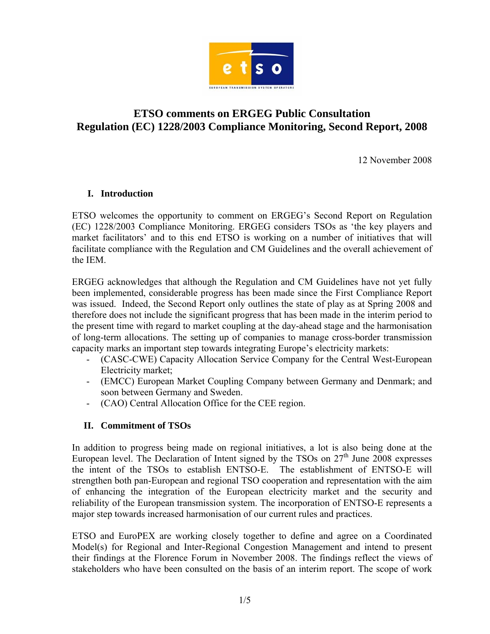

# **ETSO comments on ERGEG Public Consultation Regulation (EC) 1228/2003 Compliance Monitoring, Second Report, 2008**

12 November 2008

### **I. Introduction**

ETSO welcomes the opportunity to comment on ERGEG's Second Report on Regulation (EC) 1228/2003 Compliance Monitoring. ERGEG considers TSOs as 'the key players and market facilitators' and to this end ETSO is working on a number of initiatives that will facilitate compliance with the Regulation and CM Guidelines and the overall achievement of the IEM.

ERGEG acknowledges that although the Regulation and CM Guidelines have not yet fully been implemented, considerable progress has been made since the First Compliance Report was issued. Indeed, the Second Report only outlines the state of play as at Spring 2008 and therefore does not include the significant progress that has been made in the interim period to the present time with regard to market coupling at the day-ahead stage and the harmonisation of long-term allocations. The setting up of companies to manage cross-border transmission capacity marks an important step towards integrating Europe's electricity markets:

- (CASC-CWE) Capacity Allocation Service Company for the Central West-European Electricity market;
- (EMCC) European Market Coupling Company between Germany and Denmark; and soon between Germany and Sweden.
- (CAO) Central Allocation Office for the CEE region.

### **II. Commitment of TSOs**

In addition to progress being made on regional initiatives, a lot is also being done at the European level. The Declaration of Intent signed by the TSOs on  $27<sup>th</sup>$  June 2008 expresses the intent of the TSOs to establish ENTSO-E. The establishment of ENTSO-E will strengthen both pan-European and regional TSO cooperation and representation with the aim of enhancing the integration of the European electricity market and the security and reliability of the European transmission system. The incorporation of ENTSO-E represents a major step towards increased harmonisation of our current rules and practices.

ETSO and EuroPEX are working closely together to define and agree on a Coordinated Model(s) for Regional and Inter-Regional Congestion Management and intend to present their findings at the Florence Forum in November 2008. The findings reflect the views of stakeholders who have been consulted on the basis of an interim report. The scope of work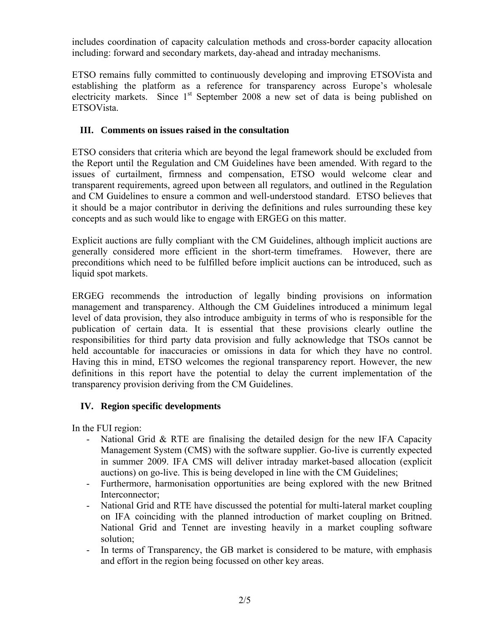includes coordination of capacity calculation methods and cross-border capacity allocation including: forward and secondary markets, day-ahead and intraday mechanisms.

ETSO remains fully committed to continuously developing and improving ETSOVista and establishing the platform as a reference for transparency across Europe's wholesale electricity markets. Since  $1<sup>st</sup>$  September 2008 a new set of data is being published on ETSOVista.

# **III. Comments on issues raised in the consultation**

ETSO considers that criteria which are beyond the legal framework should be excluded from the Report until the Regulation and CM Guidelines have been amended. With regard to the issues of curtailment, firmness and compensation, ETSO would welcome clear and transparent requirements, agreed upon between all regulators, and outlined in the Regulation and CM Guidelines to ensure a common and well-understood standard. ETSO believes that it should be a major contributor in deriving the definitions and rules surrounding these key concepts and as such would like to engage with ERGEG on this matter.

Explicit auctions are fully compliant with the CM Guidelines, although implicit auctions are generally considered more efficient in the short-term timeframes. However, there are preconditions which need to be fulfilled before implicit auctions can be introduced, such as liquid spot markets.

ERGEG recommends the introduction of legally binding provisions on information management and transparency. Although the CM Guidelines introduced a minimum legal level of data provision, they also introduce ambiguity in terms of who is responsible for the publication of certain data. It is essential that these provisions clearly outline the responsibilities for third party data provision and fully acknowledge that TSOs cannot be held accountable for inaccuracies or omissions in data for which they have no control. Having this in mind, ETSO welcomes the regional transparency report. However, the new definitions in this report have the potential to delay the current implementation of the transparency provision deriving from the CM Guidelines.

### **IV. Region specific developments**

In the FUI region:

- National Grid & RTE are finalising the detailed design for the new IFA Capacity Management System (CMS) with the software supplier. Go-live is currently expected in summer 2009. IFA CMS will deliver intraday market-based allocation (explicit auctions) on go-live. This is being developed in line with the CM Guidelines;
- Furthermore, harmonisation opportunities are being explored with the new Britned Interconnector;
- National Grid and RTE have discussed the potential for multi-lateral market coupling on IFA coinciding with the planned introduction of market coupling on Britned. National Grid and Tennet are investing heavily in a market coupling software solution;
- In terms of Transparency, the GB market is considered to be mature, with emphasis and effort in the region being focussed on other key areas.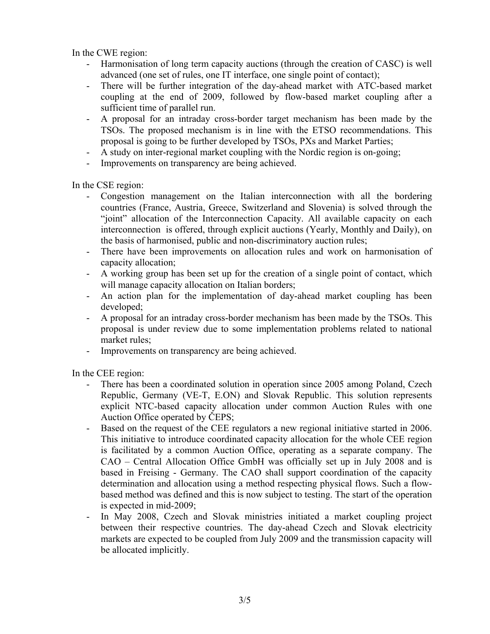In the CWE region:

- Harmonisation of long term capacity auctions (through the creation of CASC) is well advanced (one set of rules, one IT interface, one single point of contact);
- There will be further integration of the day-ahead market with ATC-based market coupling at the end of 2009, followed by flow-based market coupling after a sufficient time of parallel run.
- A proposal for an intraday cross-border target mechanism has been made by the TSOs. The proposed mechanism is in line with the ETSO recommendations. This proposal is going to be further developed by TSOs, PXs and Market Parties;
- A study on inter-regional market coupling with the Nordic region is on-going;
- Improvements on transparency are being achieved.

In the CSE region:

- Congestion management on the Italian interconnection with all the bordering countries (France, Austria, Greece, Switzerland and Slovenia) is solved through the "joint" allocation of the Interconnection Capacity. All available capacity on each interconnection is offered, through explicit auctions (Yearly, Monthly and Daily), on the basis of harmonised, public and non-discriminatory auction rules;
- There have been improvements on allocation rules and work on harmonisation of capacity allocation;
- A working group has been set up for the creation of a single point of contact, which will manage capacity allocation on Italian borders;
- An action plan for the implementation of day-ahead market coupling has been developed;
- A proposal for an intraday cross-border mechanism has been made by the TSOs. This proposal is under review due to some implementation problems related to national market rules;
- Improvements on transparency are being achieved.

In the CEE region:

- There has been a coordinated solution in operation since 2005 among Poland, Czech Republic, Germany (VE-T, E.ON) and Slovak Republic. This solution represents explicit NTC-based capacity allocation under common Auction Rules with one Auction Office operated by ČEPS;
- Based on the request of the CEE regulators a new regional initiative started in 2006. This initiative to introduce coordinated capacity allocation for the whole CEE region is facilitated by a common Auction Office, operating as a separate company. The CAO – Central Allocation Office GmbH was officially set up in July 2008 and is based in Freising - Germany. The CAO shall support coordination of the capacity determination and allocation using a method respecting physical flows. Such a flowbased method was defined and this is now subject to testing. The start of the operation is expected in mid-2009;
- In May 2008, Czech and Slovak ministries initiated a market coupling project between their respective countries. The day-ahead Czech and Slovak electricity markets are expected to be coupled from July 2009 and the transmission capacity will be allocated implicitly.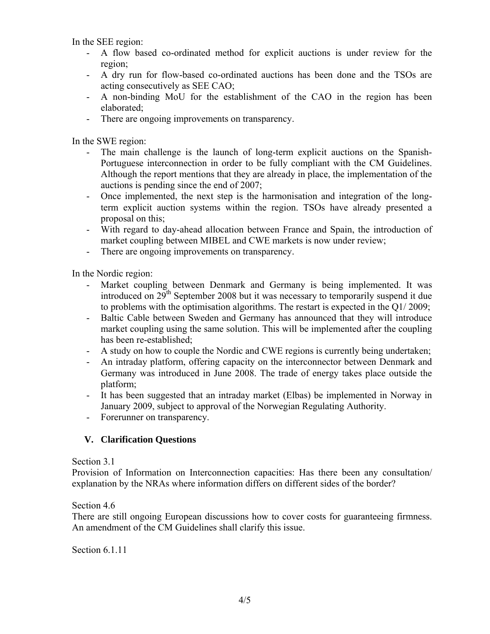In the SEE region:

- A flow based co-ordinated method for explicit auctions is under review for the region;
- A dry run for flow-based co-ordinated auctions has been done and the TSOs are acting consecutively as SEE CAO;
- A non-binding MoU for the establishment of the CAO in the region has been elaborated;
- There are ongoing improvements on transparency.

In the SWE region:

- The main challenge is the launch of long-term explicit auctions on the Spanish-Portuguese interconnection in order to be fully compliant with the CM Guidelines. Although the report mentions that they are already in place, the implementation of the auctions is pending since the end of 2007;
- Once implemented, the next step is the harmonisation and integration of the longterm explicit auction systems within the region. TSOs have already presented a proposal on this;
- With regard to day-ahead allocation between France and Spain, the introduction of market coupling between MIBEL and CWE markets is now under review;
- There are ongoing improvements on transparency.

In the Nordic region:

- Market coupling between Denmark and Germany is being implemented. It was introduced on 29<sup>th</sup> September 2008 but it was necessary to temporarily suspend it due to problems with the optimisation algorithms. The restart is expected in the Q1/ 2009;
- Baltic Cable between Sweden and Germany has announced that they will introduce market coupling using the same solution. This will be implemented after the coupling has been re-established;
- A study on how to couple the Nordic and CWE regions is currently being undertaken;
- An intraday platform, offering capacity on the interconnector between Denmark and Germany was introduced in June 2008. The trade of energy takes place outside the platform;
- It has been suggested that an intraday market (Elbas) be implemented in Norway in January 2009, subject to approval of the Norwegian Regulating Authority.
- Forerunner on transparency.

# **V. Clarification Questions**

Section 3.1

Provision of Information on Interconnection capacities: Has there been any consultation/ explanation by the NRAs where information differs on different sides of the border?

#### Section 4.6

There are still ongoing European discussions how to cover costs for guaranteeing firmness. An amendment of the CM Guidelines shall clarify this issue.

Section 6.1.11